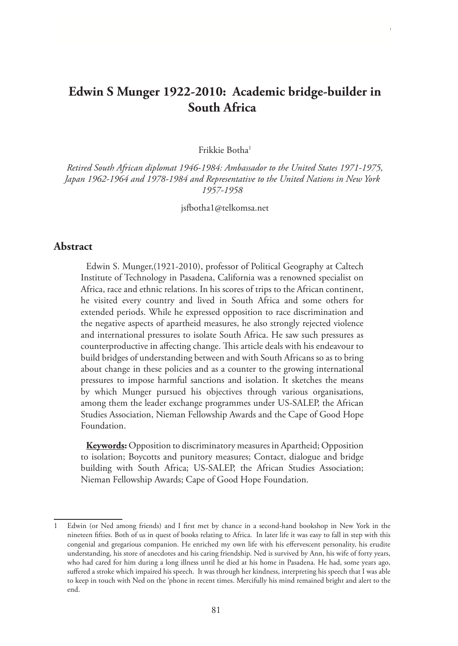# **Edwin S Munger 1922-2010: Academic bridge-builder in South Africa**

Frikkie Botha1

*Retired South African diplomat 1946-1984: Ambassador to the United States 1971-1975, Japan 1962-1964 and 1978-1984 and Representative to the United Nations in New York 1957-1958*

jsfbotha1@telkomsa.net

#### **Abstract**

Edwin S. Munger,(1921-2010), professor of Political Geography at Caltech Institute of Technology in Pasadena, California was a renowned specialist on Africa, race and ethnic relations. In his scores of trips to the African continent, he visited every country and lived in South Africa and some others for extended periods. While he expressed opposition to race discrimination and the negative aspects of apartheid measures, he also strongly rejected violence and international pressures to isolate South Africa. He saw such pressures as counterproductive in affecting change. This article deals with his endeavour to build bridges of understanding between and with South Africans so as to bring about change in these policies and as a counter to the growing international pressures to impose harmful sanctions and isolation. It sketches the means by which Munger pursued his objectives through various organisations, among them the leader exchange programmes under US-SALEP, the African Studies Association, Nieman Fellowship Awards and the Cape of Good Hope Foundation.

**Keywords:** Opposition to discriminatory measures in Apartheid; Opposition to isolation; Boycotts and punitory measures; Contact, dialogue and bridge building with South Africa; US-SALEP, the African Studies Association; Nieman Fellowship Awards; Cape of Good Hope Foundation.

Edwin (or Ned among friends) and I first met by chance in a second-hand bookshop in New York in the nineteen fifties. Both of us in quest of books relating to Africa. In later life it was easy to fall in step with this congenial and gregarious companion. He enriched my own life with his effervescent personality, his erudite understanding, his store of anecdotes and his caring friendship. Ned is survived by Ann, his wife of forty years, who had cared for him during a long illness until he died at his home in Pasadena. He had, some years ago, suffered a stroke which impaired his speech. It was through her kindness, interpreting his speech that I was able to keep in touch with Ned on the 'phone in recent times. Mercifully his mind remained bright and alert to the end.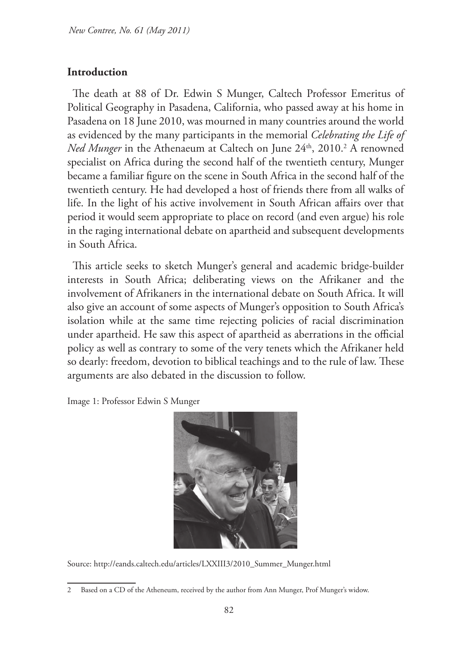## **Introduction**

The death at 88 of Dr. Edwin S Munger, Caltech Professor Emeritus of Political Geography in Pasadena, California, who passed away at his home in Pasadena on 18 June 2010, was mourned in many countries around the world as evidenced by the many participants in the memorial *Celebrating the Life of Ned Munger* in the Athenaeum at Caltech on June 24<sup>th</sup>, 2010.<sup>2</sup> A renowned specialist on Africa during the second half of the twentieth century, Munger became a familiar figure on the scene in South Africa in the second half of the twentieth century. He had developed a host of friends there from all walks of life. In the light of his active involvement in South African affairs over that period it would seem appropriate to place on record (and even argue) his role in the raging international debate on apartheid and subsequent developments in South Africa.

This article seeks to sketch Munger's general and academic bridge-builder interests in South Africa; deliberating views on the Afrikaner and the involvement of Afrikaners in the international debate on South Africa. It will also give an account of some aspects of Munger's opposition to South Africa's isolation while at the same time rejecting policies of racial discrimination under apartheid. He saw this aspect of apartheid as aberrations in the official policy as well as contrary to some of the very tenets which the Afrikaner held so dearly: freedom, devotion to biblical teachings and to the rule of law. These arguments are also debated in the discussion to follow.

Image 1: Professor Edwin S Munger



Source: http://eands.caltech.edu/articles/LXXIII3/2010\_Summer\_Munger.html

<sup>2</sup> Based on a CD of the Atheneum, received by the author from Ann Munger, Prof Munger's widow.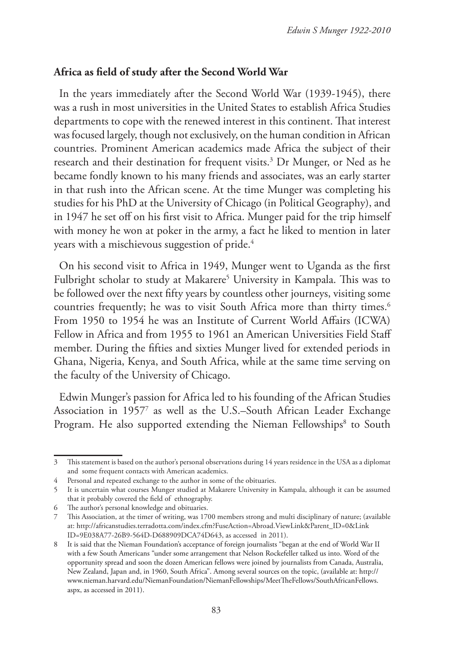## **Africa as field of study after the Second World War**

In the years immediately after the Second World War (1939-1945), there was a rush in most universities in the United States to establish Africa Studies departments to cope with the renewed interest in this continent. That interest was focused largely, though not exclusively, on the human condition in African countries. Prominent American academics made Africa the subject of their research and their destination for frequent visits.3 Dr Munger, or Ned as he became fondly known to his many friends and associates, was an early starter in that rush into the African scene. At the time Munger was completing his studies for his PhD at the University of Chicago (in Political Geography), and in 1947 he set off on his first visit to Africa. Munger paid for the trip himself with money he won at poker in the army, a fact he liked to mention in later years with a mischievous suggestion of pride.4

On his second visit to Africa in 1949, Munger went to Uganda as the first Fulbright scholar to study at Makarere<sup>5</sup> University in Kampala. This was to be followed over the next fifty years by countless other journeys, visiting some countries frequently; he was to visit South Africa more than thirty times.<sup>6</sup> From 1950 to 1954 he was an Institute of Current World Affairs (ICWA) Fellow in Africa and from 1955 to 1961 an American Universities Field Staff member. During the fifties and sixties Munger lived for extended periods in Ghana, Nigeria, Kenya, and South Africa, while at the same time serving on the faculty of the University of Chicago.

Edwin Munger's passion for Africa led to his founding of the African Studies Association in 19577 as well as the U.S.–South African Leader Exchange Program. He also supported extending the Nieman Fellowships<sup>8</sup> to South

<sup>3</sup> This statement is based on the author's personal observations during 14 years residence in the USA as a diplomat and some frequent contacts with American academics.

<sup>4</sup> Personal and repeated exchange to the author in some of the obituaries.

<sup>5</sup> It is uncertain what courses Munger studied at Makarere University in Kampala, although it can be assumed that it probably covered the field of ethnography.

<sup>6</sup> The author's personal knowledge and obituaries.

<sup>7</sup> This Association, at the timer of writing, was 1700 members strong and multi disciplinary of nature; (available at: http://africanstudies.terradotta.com/index.cfm?FuseAction=Abroad.ViewLink&Parent\_ID=0&Link ID=9E038A77-26B9-564D-D688909DCA74D643, as accessed in 2011).

<sup>8</sup> It is said that the Nieman Foundation's acceptance of foreign journalists "began at the end of World War II with a few South Americans "under some arrangement that Nelson Rockefeller talked us into. Word of the opportunity spread and soon the dozen American fellows were joined by journalists from Canada, Australia, New Zealand, Japan and, in 1960, South Africa". Among several sources on the topic, (available at: http:// www.nieman.harvard.edu/NiemanFoundation/NiemanFellowships/MeetTheFellows/SouthAfricanFellows. aspx, as accessed in 2011).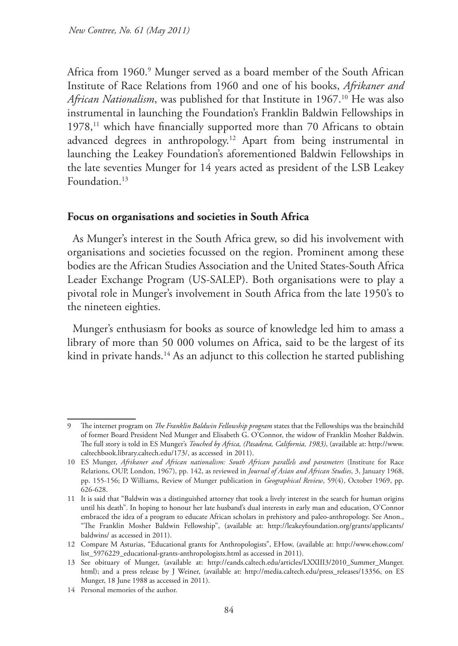Africa from 1960.9 Munger served as a board member of the South African Institute of Race Relations from 1960 and one of his books, *Afrikaner and African Nationalism*, was published for that Institute in 1967.<sup>10</sup> He was also instrumental in launching the Foundation's Franklin Baldwin Fellowships in 1978,<sup>11</sup> which have financially supported more than 70 Africans to obtain advanced degrees in anthropology.12 Apart from being instrumental in launching the Leakey Foundation's aforementioned Baldwin Fellowships in the late seventies Munger for 14 years acted as president of the LSB Leakey Foundation.<sup>13</sup>

#### **Focus on organisations and societies in South Africa**

As Munger's interest in the South Africa grew, so did his involvement with organisations and societies focussed on the region. Prominent among these bodies are the African Studies Association and the United States-South Africa Leader Exchange Program (US-SALEP). Both organisations were to play a pivotal role in Munger's involvement in South Africa from the late 1950's to the nineteen eighties.

Munger's enthusiasm for books as source of knowledge led him to amass a library of more than 50 000 volumes on Africa, said to be the largest of its kind in private hands.<sup>14</sup> As an adjunct to this collection he started publishing

<sup>9</sup> The internet program on *The Franklin Baldwin Fellowship program* states that the Fellowships was the brainchild of former Board President Ned Munger and Elisabeth G. O'Connor, the widow of Franklin Mosher Baldwin. The full story is told in ES Munger's *Touched by Africa, (Pasadena, California, 1983)*, (available at: http://www. caltechbook.library.caltech.edu/173/, as accessed in 2011).

<sup>10</sup> ES Munger, *Afrikaner and African nationalism: South African parallels and parameters* (Institute for Race Relations, OUP, London, 1967), pp. 142, as reviewed in *Journal of Asian and African Studies*, 3, January 1968, pp. 155-156; D Williams, Review of Munger publication in *Geographical Review*, 59(4), October 1969, pp. 626-628.

<sup>11</sup> It is said that "Baldwin was a distinguished attorney that took a lively interest in the search for human origins until his death". In hoping to honour her late husband's dual interests in early man and education, O'Connor embraced the idea of a program to educate African scholars in prehistory and paleo-anthropology. See Anon., "The Franklin Mosher Baldwin Fellowship", (available at: http://leakeyfoundation.org/grants/applicants/ baldwins/ as accessed in 2011).

<sup>12</sup> Compare M Asturias, "Educational grants for Anthropologists", EHow, (available at: http://www.ehow.com/ list\_5976229\_educational-grants-anthropologists.html as accessed in 2011).

<sup>13</sup> See obituary of Munger, (available at: http://eands.caltech.edu/articles/LXXIII3/2010\_Summer\_Munger. html); and a press release by J Weiner, (available at: http://media.caltech.edu/press\_releases/13356, on ES Munger, 18 June 1988 as accessed in 2011).

<sup>14</sup> Personal memories of the author.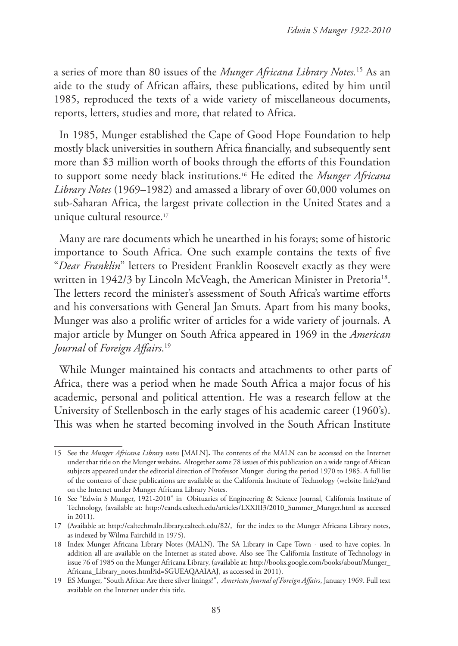a series of more than 80 issues of the *Munger Africana Library Notes.*15 As an aide to the study of African affairs, these publications, edited by him until 1985, reproduced the texts of a wide variety of miscellaneous documents, reports, letters, studies and more, that related to Africa.

In 1985, Munger established the Cape of Good Hope Foundation to help mostly black universities in southern Africa financially, and subsequently sent more than \$3 million worth of books through the efforts of this Foundation to support some needy black institutions.16 He edited the *Munger Africana Library Notes* (1969–1982) and amassed a library of over 60,000 volumes on sub-Saharan Africa, the largest private collection in the United States and a unique cultural resource.<sup>17</sup>

Many are rare documents which he unearthed in his forays; some of historic importance to South Africa. One such example contains the texts of five "*Dear Franklin*" letters to President Franklin Roosevelt exactly as they were written in 1942/3 by Lincoln McVeagh, the American Minister in Pretoria<sup>18</sup>. The letters record the minister's assessment of South Africa's wartime efforts and his conversations with General Jan Smuts. Apart from his many books, Munger was also a prolific writer of articles for a wide variety of journals. A major article by Munger on South Africa appeared in 1969 in the *American Journal* of *Foreign Affairs*. 19

While Munger maintained his contacts and attachments to other parts of Africa, there was a period when he made South Africa a major focus of his academic, personal and political attention. He was a research fellow at the University of Stellenbosch in the early stages of his academic career (1960's). This was when he started becoming involved in the South African Institute

<sup>15</sup> See the *Munger Africana Library notes* **[**MALN**].** The contents of the MALN can be accessed on the Internet under that title on the Munger website**.** Altogether some 78 issues of this publication on a wide range of African subjects appeared under the editorial direction of Professor Munger during the period 1970 to 1985. A full list of the contents of these publications are available at the California Institute of Technology (website link?)and on the Internet under Munger Africana Library Notes.

<sup>16</sup> See "Edwin S Munger, 1921-2010" in Obituaries of Engineering & Science Journal, California Institute of Technology, (available at: http://eands.caltech.edu/articles/LXXIII3/2010\_Summer\_Munger.html as accessed in 2011).

<sup>17</sup> (Available at: http://caltechmaln.library.caltech.edu/82/, for the index to the Munger Africana Library notes, as indexed by Wilma Fairchild in 1975).

<sup>18</sup> Index Munger Africana Library Notes (MALN). The SA Library in Cape Town - used to have copies. In addition all are available on the Internet as stated above. Also see The California Institute of Technology in issue 76 of 1985 on the Munger Africana Library, (available at: http://books.google.com/books/about/Munger\_ Africana\_Library\_notes.html?id=SGUEAQAAIAAJ, as accessed in 2011).

<sup>19</sup> ES Munger, "South Africa: Are there silver linings?", *American Journal of Foreign Affairs*, January 1969. Full text available on the Internet under this title.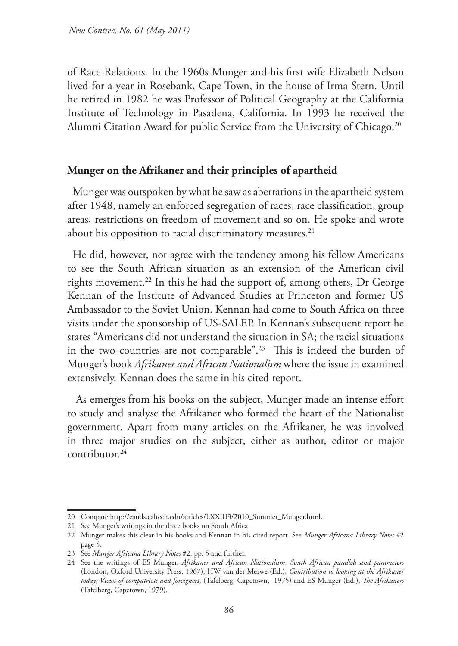of Race Relations. In the 1960s Munger and his first wife Elizabeth Nelson lived for a year in Rosebank, Cape Town, in the house of Irma Stern. Until he retired in 1982 he was Professor of Political Geography at the California Institute of Technology in Pasadena, California. In 1993 he received the Alumni Citation Award for public Service from the University of Chicago.<sup>20</sup>

#### **Munger on the Afrikaner and their principles of apartheid**

Munger was outspoken by what he saw as aberrations in the apartheid system after 1948, namely an enforced segregation of races, race classification, group areas, restrictions on freedom of movement and so on. He spoke and wrote about his opposition to racial discriminatory measures.<sup>21</sup>

He did, however, not agree with the tendency among his fellow Americans to see the South African situation as an extension of the American civil rights movement.<sup>22</sup> In this he had the support of, among others, Dr George Kennan of the Institute of Advanced Studies at Princeton and former US Ambassador to the Soviet Union. Kennan had come to South Africa on three visits under the sponsorship of US-SALEP. In Kennan's subsequent report he states "Americans did not understand the situation in SA; the racial situations in the two countries are not comparable".<sup>23</sup> This is indeed the burden of Munger's book *Afrikaner and African Nationalism* where the issue in examined extensively. Kennan does the same in his cited report.

As emerges from his books on the subject, Munger made an intense effort to study and analyse the Afrikaner who formed the heart of the Nationalist government. Apart from many articles on the Afrikaner, he was involved in three major studies on the subject, either as author, editor or major contributor.24

<sup>20</sup> Compare http://eands.caltech.edu/articles/LXXIII3/2010\_Summer\_Munger.html.

<sup>21</sup> See Munger's writings in the three books on South Africa.

<sup>22</sup> Munger makes this clear in his books and Kennan in his cited report. See *Munger Africana Library Notes* #2 page 5.

<sup>23</sup> See *Munger Africana Library Notes* #2, pp. 5 and further.

<sup>24</sup> See the writings of ES Munger, *Afrikaner and African Nationalism; South African parallels and parameters*  (London, Oxford University Press, 1967); HW van der Merwe (Ed.), *Contribution to looking at the Afrikaner today; Views of compatriots and foreigners*, (Tafelberg, Capetown, 1975) and ES Munger (Ed.), *The Afrikaners*  (Tafelberg, Capetown, 1979).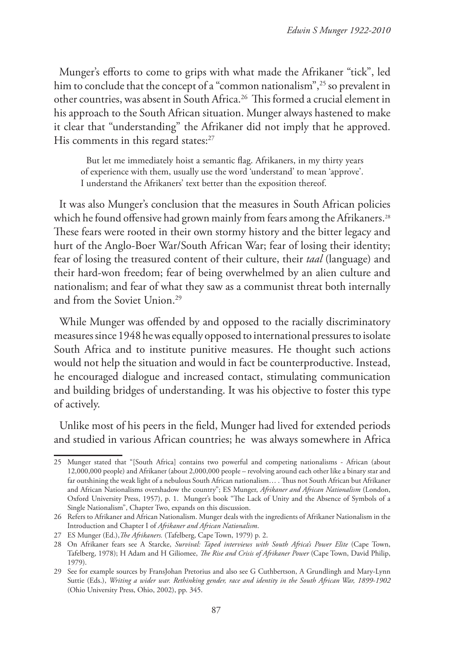Munger's efforts to come to grips with what made the Afrikaner "tick", led him to conclude that the concept of a "common nationalism",<sup>25</sup> so prevalent in other countries, was absent in South Africa.26 This formed a crucial element in his approach to the South African situation. Munger always hastened to make it clear that "understanding" the Afrikaner did not imply that he approved. His comments in this regard states:<sup>27</sup>

But let me immediately hoist a semantic flag. Afrikaners, in my thirty years of experience with them, usually use the word 'understand' to mean 'approve'. I understand the Afrikaners' text better than the exposition thereof.

It was also Munger's conclusion that the measures in South African policies which he found offensive had grown mainly from fears among the Afrikaners.<sup>28</sup> These fears were rooted in their own stormy history and the bitter legacy and hurt of the Anglo-Boer War/South African War; fear of losing their identity; fear of losing the treasured content of their culture, their *taal* (language) and their hard-won freedom; fear of being overwhelmed by an alien culture and nationalism; and fear of what they saw as a communist threat both internally and from the Soviet Union.<sup>29</sup>

While Munger was offended by and opposed to the racially discriminatory measures since 1948 he was equally opposed to international pressures to isolate South Africa and to institute punitive measures. He thought such actions would not help the situation and would in fact be counterproductive. Instead, he encouraged dialogue and increased contact, stimulating communication and building bridges of understanding. It was his objective to foster this type of actively.

Unlike most of his peers in the field, Munger had lived for extended periods and studied in various African countries; he was always somewhere in Africa

<sup>25</sup> Munger stated that "[South Africa] contains two powerful and competing nationalisms - African (about 12,000,000 people) and Afrikaner (about 2,000,000 people – revolving around each other like a binary star and far outshining the weak light of a nebulous South African nationalism… . Thus not South African but Afrikaner and African Nationalisms overshadow the country"; ES Munger, *Afrikaner and African Nationalism* (London, Oxford University Press, 1957), p. 1. Munger's book "The Lack of Unity and the Absence of Symbols of a Single Nationalism", Chapter Two, expands on this discussion.

<sup>26</sup> Refers to Afrikaner and African Nationalism. Munger deals with the ingredients of Afrikaner Nationalism in the Introduction and Chapter I of *Afrikaner and African Nationalism*.

<sup>27</sup> ES Munger (Ed.),*The Afrikaners.* (Tafelberg, Cape Town, 1979) p. 2.

<sup>28</sup> On Afrikaner fears see A Starcke, *Survival: Taped interviews with South Africa's Power Elite* (Cape Town, Tafelberg, 1978); H Adam and H Giliomee, *The Rise and Crisis of Afrikaner Power* (Cape Town, David Philip, 1979).

<sup>29</sup> See for example sources by FransJohan Pretorius and also see G Cuthbertson, A Grundlingh and Mary-Lynn Suttie (Eds.), *Writing a wider war. Rethinking gender, race and identity in the South African War, 1899-1902* (Ohio University Press, Ohio, 2002), pp. 345.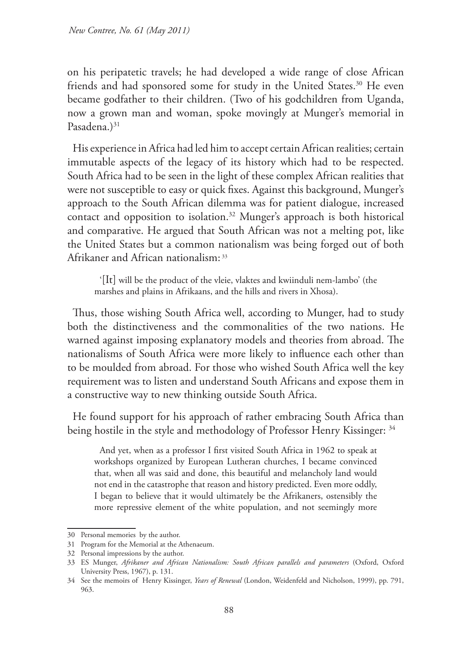on his peripatetic travels; he had developed a wide range of close African friends and had sponsored some for study in the United States.<sup>30</sup> He even became godfather to their children. (Two of his godchildren from Uganda, now a grown man and woman, spoke movingly at Munger's memorial in Pasadena.)<sup>31</sup>

His experience in Africa had led him to accept certain African realities; certain immutable aspects of the legacy of its history which had to be respected. South Africa had to be seen in the light of these complex African realities that were not susceptible to easy or quick fixes. Against this background, Munger's approach to the South African dilemma was for patient dialogue, increased contact and opposition to isolation.<sup>32</sup> Munger's approach is both historical and comparative. He argued that South African was not a melting pot, like the United States but a common nationalism was being forged out of both Afrikaner and African nationalism: 33

'[It] will be the product of the vleie, vlaktes and kwiinduli nem-lambo' (the marshes and plains in Afrikaans, and the hills and rivers in Xhosa).

Thus, those wishing South Africa well, according to Munger, had to study both the distinctiveness and the commonalities of the two nations. He warned against imposing explanatory models and theories from abroad. The nationalisms of South Africa were more likely to influence each other than to be moulded from abroad. For those who wished South Africa well the key requirement was to listen and understand South Africans and expose them in a constructive way to new thinking outside South Africa.

He found support for his approach of rather embracing South Africa than being hostile in the style and methodology of Professor Henry Kissinger: <sup>34</sup>

And yet, when as a professor I first visited South Africa in 1962 to speak at workshops organized by European Lutheran churches, I became convinced that, when all was said and done, this beautiful and melancholy land would not end in the catastrophe that reason and history predicted. Even more oddly, I began to believe that it would ultimately be the Afrikaners, ostensibly the more repressive element of the white population, and not seemingly more

<sup>30</sup> Personal memories by the author.

<sup>31</sup> Program for the Memorial at the Athenaeum.

<sup>32</sup> Personal impressions by the author.

<sup>33</sup> ES Munger, *Afrikaner and African Nationalism: South African parallels and parameters* (Oxford, Oxford University Press, 1967), p. 131.

<sup>34</sup> See the memoirs of Henry Kissinger, *Years of Renewal* (London, Weidenfeld and Nicholson, 1999), pp. 791, 963.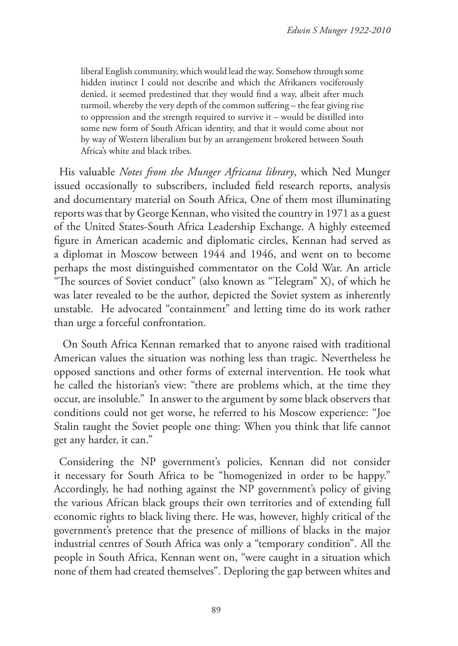liberal English community, which would lead the way. Somehow through some hidden instinct I could not describe and which the Afrikaners vociferously denied, it seemed predestined that they would find a way, albeit after much turmoil, whereby the very depth of the common suffering – the fear giving rise to oppression and the strength required to survive it – would be distilled into some new form of South African identity, and that it would come about not by way of Western liberalism but by an arrangement brokered between South Africa's white and black tribes.

His valuable *Notes from the Munger Africana library*, which Ned Munger issued occasionally to subscribers, included field research reports, analysis and documentary material on South Africa, One of them most illuminating reports was that by George Kennan, who visited the country in 1971 as a guest of the United States-South Africa Leadership Exchange. A highly esteemed figure in American academic and diplomatic circles, Kennan had served as a diplomat in Moscow between 1944 and 1946, and went on to become perhaps the most distinguished commentator on the Cold War. An article "The sources of Soviet conduct" (also known as "Telegram" X), of which he was later revealed to be the author, depicted the Soviet system as inherently unstable. He advocated "containment" and letting time do its work rather than urge a forceful confrontation.

 On South Africa Kennan remarked that to anyone raised with traditional American values the situation was nothing less than tragic. Nevertheless he opposed sanctions and other forms of external intervention. He took what he called the historian's view: "there are problems which, at the time they occur, are insoluble." In answer to the argument by some black observers that conditions could not get worse, he referred to his Moscow experience: "Joe Stalin taught the Soviet people one thing: When you think that life cannot get any harder, it can."

Considering the NP government's policies, Kennan did not consider it necessary for South Africa to be "homogenized in order to be happy." Accordingly, he had nothing against the NP government's policy of giving the various African black groups their own territories and of extending full economic rights to black living there. He was, however, highly critical of the government's pretence that the presence of millions of blacks in the major industrial centres of South Africa was only a "temporary condition". All the people in South Africa, Kennan went on, "were caught in a situation which none of them had created themselves". Deploring the gap between whites and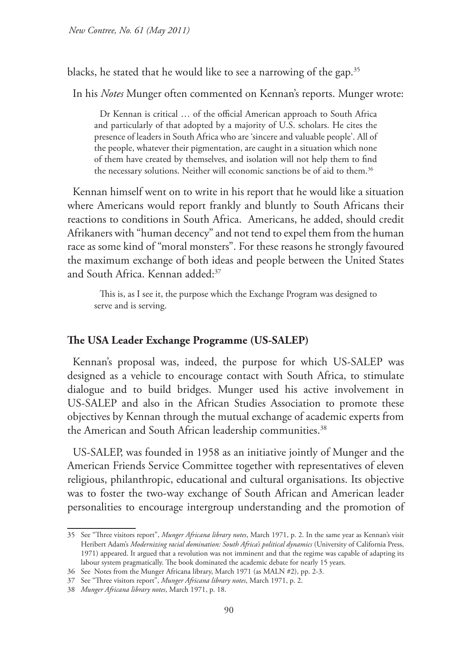*New Contree, No. 61 (May 2011)*

blacks, he stated that he would like to see a narrowing of the gap.<sup>35</sup>

In his *Notes* Munger often commented on Kennan's reports. Munger wrote:

Dr Kennan is critical … of the official American approach to South Africa and particularly of that adopted by a majority of U.S. scholars. He cites the presence of leaders in South Africa who are 'sincere and valuable people'. All of the people, whatever their pigmentation, are caught in a situation which none of them have created by themselves, and isolation will not help them to find the necessary solutions. Neither will economic sanctions be of aid to them.<sup>36</sup>

Kennan himself went on to write in his report that he would like a situation where Americans would report frankly and bluntly to South Africans their reactions to conditions in South Africa. Americans, he added, should credit Afrikaners with "human decency" and not tend to expel them from the human race as some kind of "moral monsters". For these reasons he strongly favoured the maximum exchange of both ideas and people between the United States and South Africa. Kennan added:37

This is, as I see it, the purpose which the Exchange Program was designed to serve and is serving.

#### **The USA Leader Exchange Programme (US-SALEP)**

Kennan's proposal was, indeed, the purpose for which US-SALEP was designed as a vehicle to encourage contact with South Africa, to stimulate dialogue and to build bridges. Munger used his active involvement in US-SALEP and also in the African Studies Association to promote these objectives by Kennan through the mutual exchange of academic experts from the American and South African leadership communities.<sup>38</sup>

US-SALEP, was founded in 1958 as an initiative jointly of Munger and the American Friends Service Committee together with representatives of eleven religious, philanthropic, educational and cultural organisations. Its objective was to foster the two-way exchange of South African and American leader personalities to encourage intergroup understanding and the promotion of

<sup>35</sup> See "Three visitors report", *Munger Africana library notes*, March 1971, p. 2. In the same year as Kennan's visit Heribert Adam's *Modernizing racial domination: South Africa's political dynamics* (University of California Press, 1971) appeared. It argued that a revolution was not imminent and that the regime was capable of adapting its labour system pragmatically. The book dominated the academic debate for nearly 15 years.

<sup>36</sup> See Notes from the Munger Africana library, March 1971 (as MALN #2), pp. 2-3.

<sup>37</sup> See "Three visitors report", *Munger Africana library notes*, March 1971, p. 2.

<sup>38</sup> *Munger Africana library notes*, March 1971, p. 18.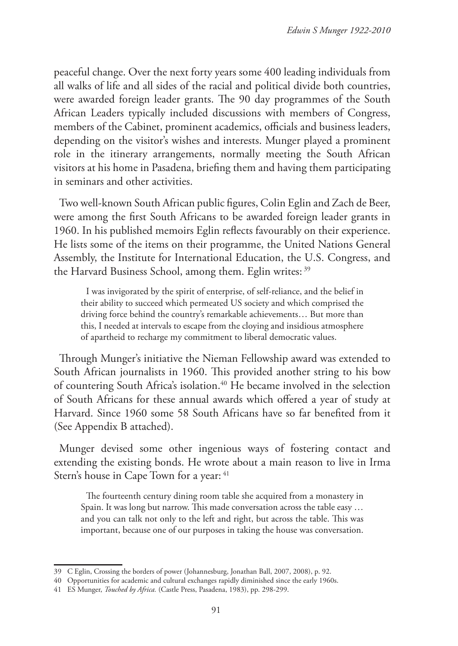peaceful change. Over the next forty years some 400 leading individuals from all walks of life and all sides of the racial and political divide both countries, were awarded foreign leader grants. The 90 day programmes of the South African Leaders typically included discussions with members of Congress, members of the Cabinet, prominent academics, officials and business leaders, depending on the visitor's wishes and interests. Munger played a prominent role in the itinerary arrangements, normally meeting the South African visitors at his home in Pasadena, briefing them and having them participating in seminars and other activities.

Two well-known South African public figures, Colin Eglin and Zach de Beer, were among the first South Africans to be awarded foreign leader grants in 1960. In his published memoirs Eglin reflects favourably on their experience. He lists some of the items on their programme, the United Nations General Assembly, the Institute for International Education, the U.S. Congress, and the Harvard Business School, among them. Eglin writes: <sup>39</sup>

I was invigorated by the spirit of enterprise, of self-reliance, and the belief in their ability to succeed which permeated US society and which comprised the driving force behind the country's remarkable achievements… But more than this, I needed at intervals to escape from the cloying and insidious atmosphere of apartheid to recharge my commitment to liberal democratic values.

Through Munger's initiative the Nieman Fellowship award was extended to South African journalists in 1960. This provided another string to his bow of countering South Africa's isolation.<sup>40</sup> He became involved in the selection of South Africans for these annual awards which offered a year of study at Harvard. Since 1960 some 58 South Africans have so far benefited from it (See Appendix B attached).

Munger devised some other ingenious ways of fostering contact and extending the existing bonds. He wrote about a main reason to live in Irma Stern's house in Cape Town for a year:  $41$ 

The fourteenth century dining room table she acquired from a monastery in Spain. It was long but narrow. This made conversation across the table easy … and you can talk not only to the left and right, but across the table. This was important, because one of our purposes in taking the house was conversation.

<sup>39</sup> C Eglin, Crossing the borders of power (Johannesburg, Jonathan Ball, 2007, 2008), p. 92.

<sup>40</sup> Opportunities for academic and cultural exchanges rapidly diminished since the early 1960s.

<sup>41</sup> ES Munger, *Touched by Africa.* (Castle Press, Pasadena, 1983), pp. 298-299.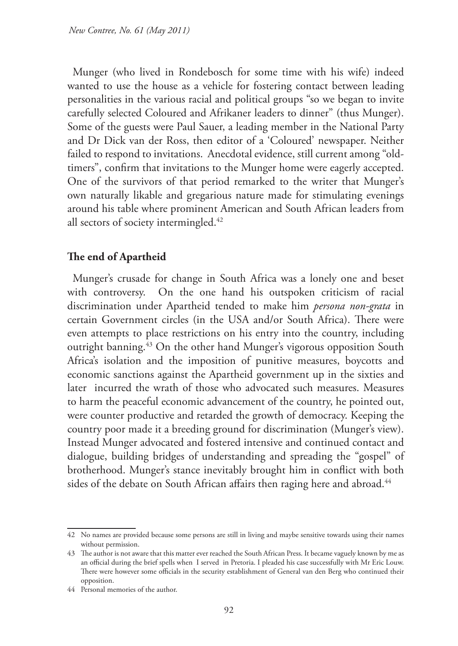Munger (who lived in Rondebosch for some time with his wife) indeed wanted to use the house as a vehicle for fostering contact between leading personalities in the various racial and political groups "so we began to invite carefully selected Coloured and Afrikaner leaders to dinner" (thus Munger). Some of the guests were Paul Sauer, a leading member in the National Party and Dr Dick van der Ross, then editor of a 'Coloured' newspaper. Neither failed to respond to invitations. Anecdotal evidence, still current among "oldtimers", confirm that invitations to the Munger home were eagerly accepted. One of the survivors of that period remarked to the writer that Munger's own naturally likable and gregarious nature made for stimulating evenings around his table where prominent American and South African leaders from all sectors of society intermingled.<sup>42</sup>

### **The end of Apartheid**

Munger's crusade for change in South Africa was a lonely one and beset with controversy. On the one hand his outspoken criticism of racial discrimination under Apartheid tended to make him *persona non-grata* in certain Government circles (in the USA and/or South Africa). There were even attempts to place restrictions on his entry into the country, including outright banning.43 On the other hand Munger's vigorous opposition South Africa's isolation and the imposition of punitive measures, boycotts and economic sanctions against the Apartheid government up in the sixties and later incurred the wrath of those who advocated such measures. Measures to harm the peaceful economic advancement of the country, he pointed out, were counter productive and retarded the growth of democracy. Keeping the country poor made it a breeding ground for discrimination (Munger's view). Instead Munger advocated and fostered intensive and continued contact and dialogue, building bridges of understanding and spreading the "gospel" of brotherhood. Munger's stance inevitably brought him in conflict with both sides of the debate on South African affairs then raging here and abroad.<sup>44</sup>

<sup>42</sup> No names are provided because some persons are still in living and maybe sensitive towards using their names without permission.

<sup>43</sup> The author is not aware that this matter ever reached the South African Press. It became vaguely known by me as an official during the brief spells when I served in Pretoria. I pleaded his case successfully with Mr Eric Louw. There were however some officials in the security establishment of General van den Berg who continued their opposition.

<sup>44</sup> Personal memories of the author.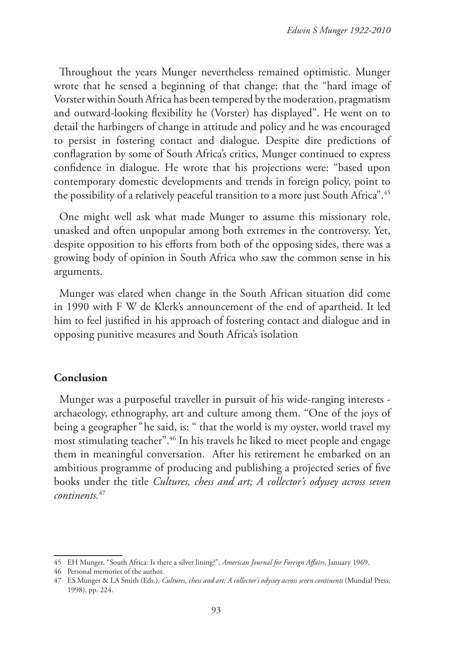Throughout the years Munger nevertheless remained optimistic. Munger wrote that he sensed a beginning of that change; that the "hard image of Vorster within South Africa has been tempered by the moderation, pragmatism and outward-looking flexibility he (Vorster) has displayed". He went on to detail the harbingers of change in attitude and policy and he was encouraged to persist in fostering contact and dialogue. Despite dire predictions of conflagration by some of South Africa's critics, Munger continued to express confidence in dialogue. He wrote that his projections were: "based upon contemporary domestic developments and trends in foreign policy, point to the possibility of a relatively peaceful transition to a more just South Africa".<sup>45</sup>

One might well ask what made Munger to assume this missionary role, unasked and often unpopular among both extremes in the controversy. Yet, despite opposition to his efforts from both of the opposing sides, there was a growing body of opinion in South Africa who saw the common sense in his arguments.

Munger was elated when change in the South African situation did come in 1990 with F W de Klerk's announcement of the end of apartheid. It led him to feel justified in his approach of fostering contact and dialogue and in opposing punitive measures and South Africa's isolation

### **Conclusion**

Munger was a purposeful traveller in pursuit of his wide-ranging interests archaeology, ethnography, art and culture among them. "One of the joys of being a geographer*"* he said, is: " that the world is my oyster, world travel my most stimulating teacher".46 In his travels he liked to meet people and engage them in meaningful conversation. After his retirement he embarked on an ambitious programme of producing and publishing a projected series of five books under the title *Cultures, chess and art; A collector's odyssey across seven continents.*<sup>47</sup>

<sup>45</sup> EH Munger, "South Africa: Is there a silver lining?", *American Journal for Foreign Affairs*, January 1969.

<sup>46</sup> Personal memories of the author.

<sup>47</sup> ES Munger & LA Smith (Eds.), *Cultures, chess and art; A collector's odyssey across seven continents* (Mundial Press, 1998), pp. 224.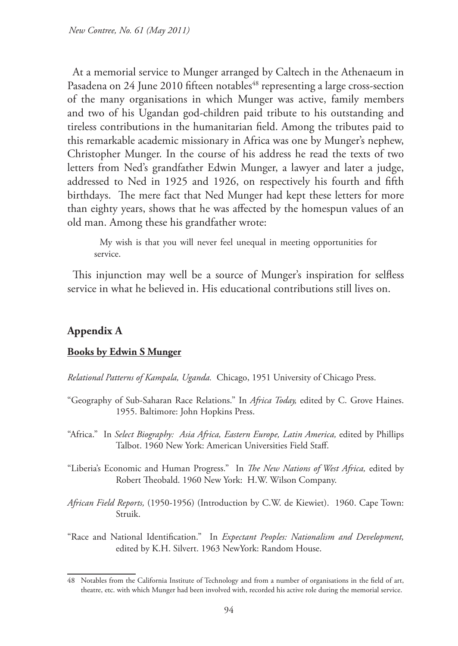At a memorial service to Munger arranged by Caltech in the Athenaeum in Pasadena on 24 June 2010 fifteen notables<sup>48</sup> representing a large cross-section of the many organisations in which Munger was active, family members and two of his Ugandan god-children paid tribute to his outstanding and tireless contributions in the humanitarian field. Among the tributes paid to this remarkable academic missionary in Africa was one by Munger's nephew, Christopher Munger. In the course of his address he read the texts of two letters from Ned's grandfather Edwin Munger, a lawyer and later a judge, addressed to Ned in 1925 and 1926, on respectively his fourth and fifth birthdays. The mere fact that Ned Munger had kept these letters for more than eighty years, shows that he was affected by the homespun values of an old man. Among these his grandfather wrote:

My wish is that you will never feel unequal in meeting opportunities for service.

This injunction may well be a source of Munger's inspiration for selfless service in what he believed in. His educational contributions still lives on.

### **Appendix A**

#### **Books by Edwin S Munger**

*Relational Patterns of Kampala, Uganda.* Chicago, 1951 University of Chicago Press.

- "Geography of Sub-Saharan Race Relations." In *Africa Today,* edited by C. Grove Haines. 1955. Baltimore: John Hopkins Press.
- "Africa." In *Select Biography: Asia Africa, Eastern Europe, Latin America*, edited by Phillips Talbot. 1960 New York: American Universities Field Staff.
- "Liberia's Economic and Human Progress." In *The New Nations of West Africa,* edited by Robert Theobald. 1960 New York: H.W. Wilson Company.
- *African Field Reports,* (1950-1956) (Introduction by C.W. de Kiewiet). 1960. Cape Town: Struik.

"Race and National Identification." In *Expectant Peoples: Nationalism and Development,* edited by K.H. Silvert. 1963 NewYork: Random House.

<sup>48</sup> Notables from the California Institute of Technology and from a number of organisations in the field of art, theatre, etc. with which Munger had been involved with, recorded his active role during the memorial service.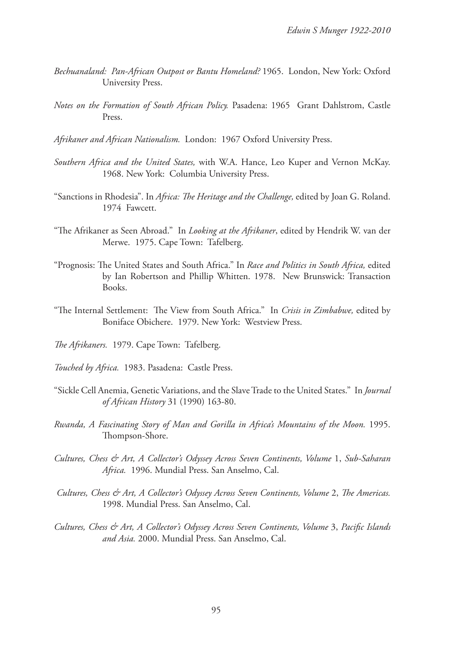- *Bechuanaland: Pan-African Outpost or Bantu Homeland?* 1965. London, New York: Oxford University Press.
- *Notes on the Formation of South African Policy.* Pasadena: 1965 Grant Dahlstrom, Castle Press.
- *Afrikaner and African Nationalism.*London: 1967 Oxford University Press.
- *Southern Africa and the United States,* with W.A. Hance, Leo Kuper and Vernon McKay. 1968. New York: Columbia University Press.
- "Sanctions in Rhodesia". In *Africa: The Heritage and the Challenge,* edited by Joan G. Roland. 1974 Fawcett.
- "The Afrikaner as Seen Abroad." In *Looking at the Afrikaner*, edited by Hendrik W. van der Merwe. 1975. Cape Town: Tafelberg.
- "Prognosis: The United States and South Africa." In *Race and Politics in South Africa,* edited by Ian Robertson and Phillip Whitten. 1978. New Brunswick: Transaction Books.
- "The Internal Settlement: The View from South Africa." In *Crisis in Zimbabwe,* edited by Boniface Obichere. 1979. New York: Westview Press.
- *The Afrikaners.* 1979. Cape Town: Tafelberg.
- *Touched by Africa.*1983. Pasadena: Castle Press.
- "Sickle Cell Anemia, Genetic Variations, and the Slave Trade to the United States." In *Journal of African History* 31 (1990) 163-80.
- *Rwanda, A Fascinating Story of Man and Gorilla in Africa's Mountains of the Moon.* 1995. Thompson-Shore.
- *Cultures, Chess & Art, A Collector's Odyssey Across Seven Continents, Volume* 1, *Sub-Saharan Africa.* 1996. Mundial Press. San Anselmo, Cal.
- *Cultures, Chess & Art, A Collector's Odyssey Across Seven Continents, Volume* 2, *The Americas.*  1998. Mundial Press. San Anselmo, Cal.
- *Cultures, Chess & Art, A Collector's Odyssey Across Seven Continents, Volume* 3, *Pacific Islands and Asia.* 2000. Mundial Press. San Anselmo, Cal.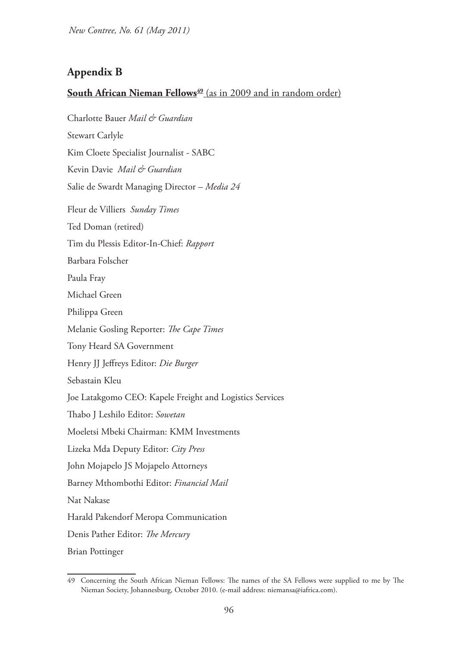*New Contree, No. 61 (May 2011)*

# **Appendix B**

# **South African Nieman Fellows**<sup>49</sup> (as in 2009 and in random order)

Charlotte Bauer *Mail & Guardian* Stewart Carlyle Kim Cloete Specialist Journalist - SABC Kevin Davie *Mail & Guardian*  Salie de Swardt Managing Director – *Media 24* Fleur de Villiers *Sunday Times* Ted Doman (retired) Tim du Plessis Editor-In-Chief: *Rapport* Barbara Folscher Paula Fray Michael Green Philippa Green Melanie Gosling Reporter: *The Cape Times* Tony Heard SA Government Henry JJ Jeffreys Editor: *Die Burger* Sebastain Kleu Joe Latakgomo CEO: Kapele Freight and Logistics Services Thabo J Leshilo Editor: *Sowetan* Moeletsi Mbeki Chairman: KMM Investments Lizeka Mda Deputy Editor: *City Press*  John Mojapelo JS Mojapelo Attorneys Barney Mthombothi Editor: *Financial Mail* Nat Nakase Harald Pakendorf Meropa Communication Denis Pather Editor: *The Mercury*

Brian Pottinger

<sup>49</sup> Concerning the South African Nieman Fellows: The names of the SA Fellows were supplied to me by The Nieman Society, Johannesburg, October 2010. (e-mail address: niemansa@iafrica.com).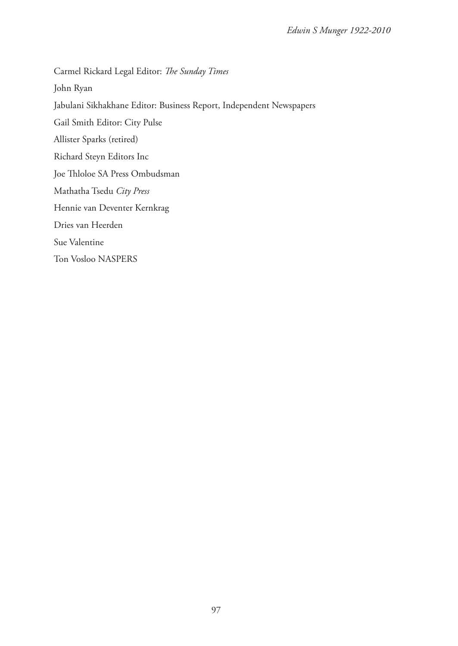Carmel Rickard Legal Editor: *The Sunday Times* John Ryan Jabulani Sikhakhane Editor: Business Report, Independent Newspapers Gail Smith Editor: City Pulse Allister Sparks (retired) Richard Steyn Editors Inc Joe Thloloe SA Press Ombudsman Mathatha Tsedu *City Press* Hennie van Deventer Kernkrag Dries van Heerden Sue Valentine Ton Vosloo NASPERS